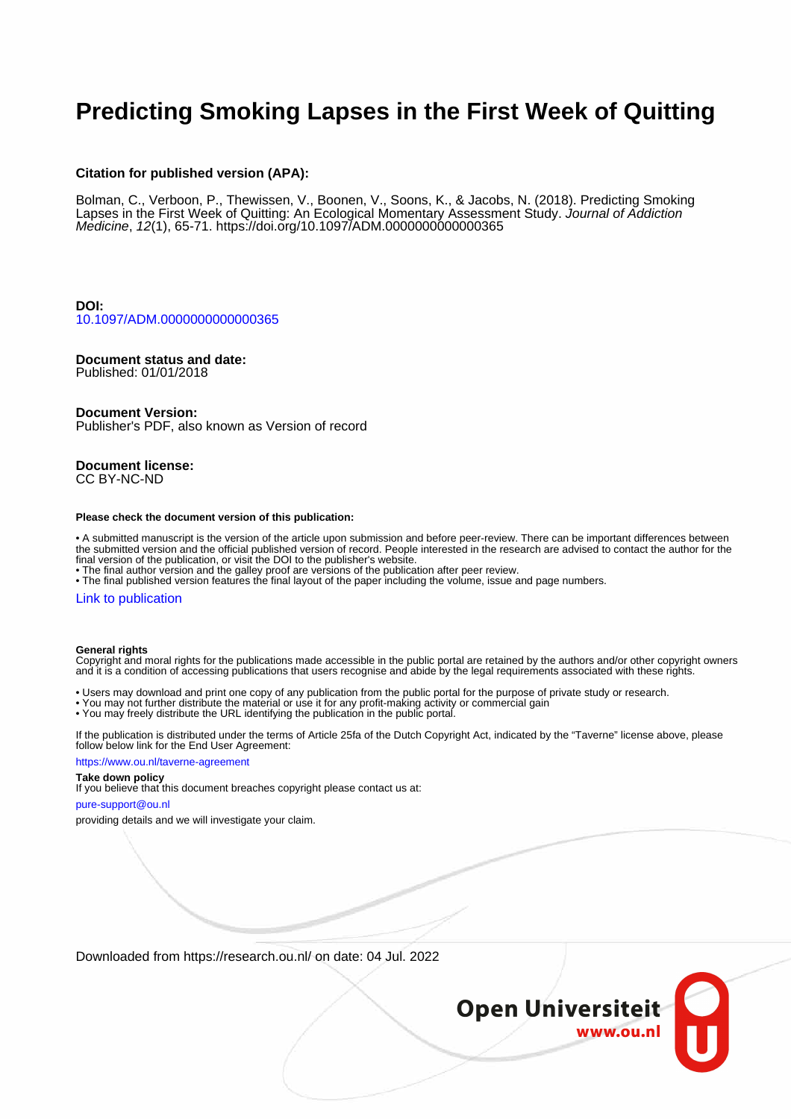# **Predicting Smoking Lapses in the First Week of Quitting**

## **Citation for published version (APA):**

Bolman, C., Verboon, P., Thewissen, V., Boonen, V., Soons, K., & Jacobs, N. (2018). Predicting Smoking Lapses in the First Week of Quitting: An Ecological Momentary Assessment Study. Journal of Addiction Medicine, 12(1), 65-71. <https://doi.org/10.1097/ADM.0000000000000365>

**DOI:** [10.1097/ADM.0000000000000365](https://doi.org/10.1097/ADM.0000000000000365)

## **Document status and date:**

Published: 01/01/2018

#### **Document Version:**

Publisher's PDF, also known as Version of record

**Document license:** CC BY-NC-ND

#### **Please check the document version of this publication:**

• A submitted manuscript is the version of the article upon submission and before peer-review. There can be important differences between the submitted version and the official published version of record. People interested in the research are advised to contact the author for the final version of the publication, or visit the DOI to the publisher's website.

• The final author version and the galley proof are versions of the publication after peer review.

• The final published version features the final layout of the paper including the volume, issue and page numbers.

#### [Link to publication](https://research.ou.nl/en/publications/a41b3aef-77e3-492d-b193-7db1b5928e04)

#### **General rights**

Copyright and moral rights for the publications made accessible in the public portal are retained by the authors and/or other copyright owners and it is a condition of accessing publications that users recognise and abide by the legal requirements associated with these rights.

- Users may download and print one copy of any publication from the public portal for the purpose of private study or research.
- You may not further distribute the material or use it for any profit-making activity or commercial gain
- You may freely distribute the URL identifying the publication in the public portal.

If the publication is distributed under the terms of Article 25fa of the Dutch Copyright Act, indicated by the "Taverne" license above, please follow below link for the End User Agreement:

#### https://www.ou.nl/taverne-agreement

# **Take down policy**

If you believe that this document breaches copyright please contact us at:

#### pure-support@ou.nl

providing details and we will investigate your claim.

Downloaded from https://research.ou.nl/ on date: 04 Jul. 2022

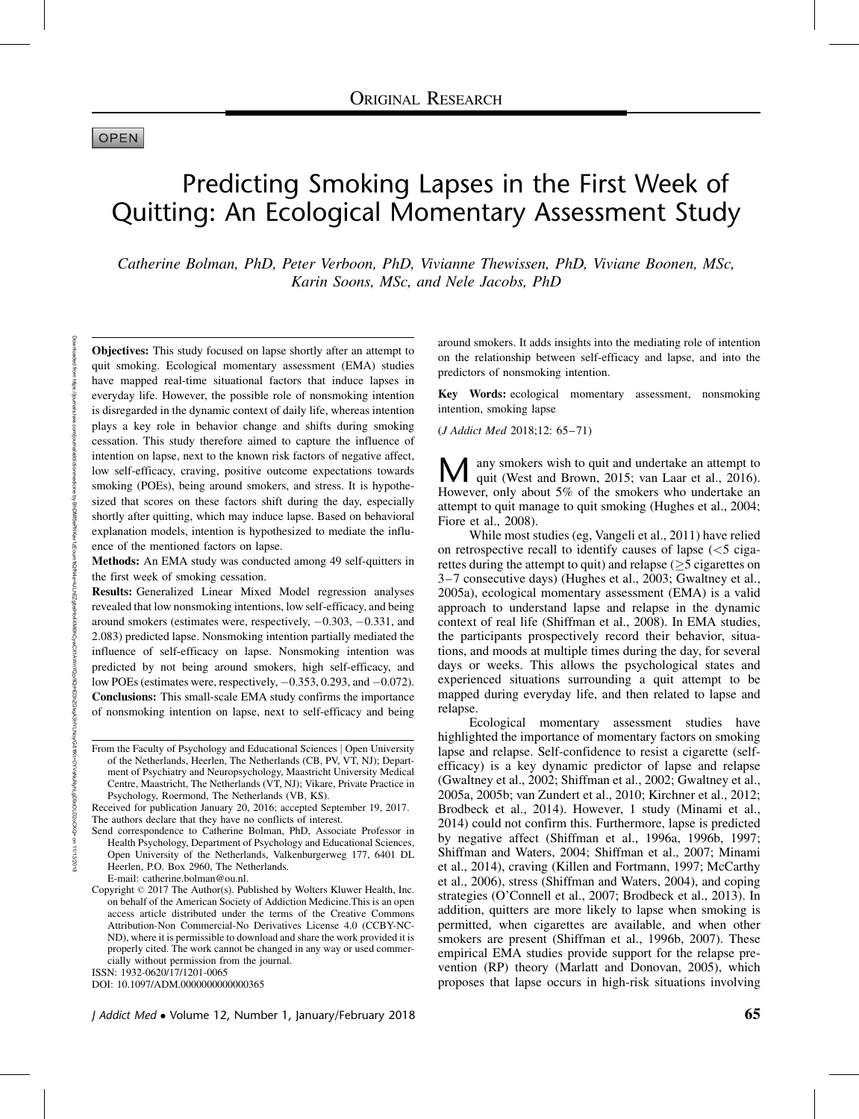## **OPEN**

# Predicting Smoking Lapses in the First Week of Quitting: An Ecological Momentary Assessment Study

Catherine Bolman, PhD, Peter Verboon, PhD, Vivianne Thewissen, PhD, Viviane Boonen, MSc, Karin Soons, MSc, and Nele Jacobs, PhD

Objectives: This study focused on lapse shortly after an attempt to quit smoking. Ecological momentary assessment (EMA) studies have mapped real-time situational factors that induce lapses in everyday life. However, the possible role of nonsmoking intention is disregarded in the dynamic context of daily life, whereas intention plays a key role in behavior change and shifts during smoking cessation. This study therefore aimed to capture the influence of intention on lapse, next to the known risk factors of negative affect, low self-efficacy, craving, positive outcome expectations towards smoking (POEs), being around smokers, and stress. It is hypothesized that scores on these factors shift during the day, especially shortly after quitting, which may induce lapse. Based on behavioral explanation models, intention is hypothesized to mediate the influence of the mentioned factors on lapse.

Methods: An EMA study was conducted among 49 self-quitters in the first week of smoking cessation.

Results: Generalized Linear Mixed Model regression analyses revealed that low nonsmoking intentions, low self-efficacy, and being around smokers (estimates were, respectively,  $-0.303, -0.331$ , and 2.083) predicted lapse. Nonsmoking intention partially mediated the influence of self-efficacy on lapse. Nonsmoking intention was predicted by not being around smokers, high self-efficacy, and low POEs (estimates were, respectively,  $-0.353$ ,  $0.293$ , and  $-0.072$ ). Conclusions: This small-scale EMA study confirms the importance of nonsmoking intention on lapse, next to self-efficacy and being

ISSN: 1932-0620/17/1201-0065

DOI: 10.1097/ADM.0000000000000365

around smokers. It adds insights into the mediating role of intention on the relationship between self-efficacy and lapse, and into the predictors of nonsmoking intention.

Key Words: ecological momentary assessment, nonsmoking intention, smoking lapse

(J Addict Med 2018;12: 65–71)

M any smokers wish to quit and undertake an attempt to quit (West and Brown, 2015; van Laar et al., 2016). However, only about 5% of the smokers who undertake an attempt to quit manage to quit smoking (Hughes et al., 2004; Fiore et al., 2008).

While most studies (eg, Vangeli et al., 2011) have relied on retrospective recall to identify causes of lapse  $\langle$  <5 cigarettes during the attempt to quit) and relapse  $(≥5$  cigarettes on 3–7 consecutive days) (Hughes et al., 2003; Gwaltney et al., 2005a), ecological momentary assessment (EMA) is a valid approach to understand lapse and relapse in the dynamic context of real life (Shiffman et al., 2008). In EMA studies, the participants prospectively record their behavior, situations, and moods at multiple times during the day, for several days or weeks. This allows the psychological states and experienced situations surrounding a quit attempt to be mapped during everyday life, and then related to lapse and relapse.

Ecological momentary assessment studies have highlighted the importance of momentary factors on smoking lapse and relapse. Self-confidence to resist a cigarette (selfefficacy) is a key dynamic predictor of lapse and relapse (Gwaltney et al., 2002; Shiffman et al., 2002; Gwaltney et al., 2005a, 2005b; van Zundert et al., 2010; Kirchner et al., 2012; Brodbeck et al., 2014). However, 1 study (Minami et al., 2014) could not confirm this. Furthermore, lapse is predicted by negative affect (Shiffman et al., 1996a, 1996b, 1997; Shiffman and Waters, 2004; Shiffman et al., 2007; Minami et al., 2014), craving (Killen and Fortmann, 1997; McCarthy et al., 2006), stress (Shiffman and Waters, 2004), and coping strategies (O'Connell et al., 2007; Brodbeck et al., 2013). In addition, quitters are more likely to lapse when smoking is permitted, when cigarettes are available, and when other smokers are present (Shiffman et al., 1996b, 2007). These empirical EMA studies provide support for the relapse prevention (RP) theory (Marlatt and Donovan, 2005), which proposes that lapse occurs in high-risk situations involving

From the Faculty of Psychology and Educational Sciences | Open University of the Netherlands, Heerlen, The Netherlands (CB, PV, VT, NJ); Department of Psychiatry and Neuropsychology, Maastricht University Medical Centre, Maastricht, The Netherlands (VT, NJ); Vikare, Private Practice in Psychology, Roermond, The Netherlands (VB, KS).

Received for publication January 20, 2016; accepted September 19, 2017. The authors declare that they have no conflicts of interest.

Send correspondence to Catherine Bolman, PhD, Associate Professor in Health Psychology, Department of Psychology and Educational Sciences, Open University of the Netherlands, Valkenburgerweg 177, 6401 DL Heerlen, P.O. Box 2960, The Netherlands.

E-mail: [catherine.bolman@ou.nl](mailto:catherine.bolman@ou.nl).

Copyright © 2017 The Author(s). Published by Wolters Kluwer Health, Inc. on behalf of the American Society of Addiction Medicine.This is an open access article distributed under the terms of the Creative Commons Attribution-Non Commercial-No Derivatives License 4.0 (CCBY-NC-ND), where it is permissible to download and share the work provided it is properly cited. The work cannot be changed in any way or used commercially without permission from the journal.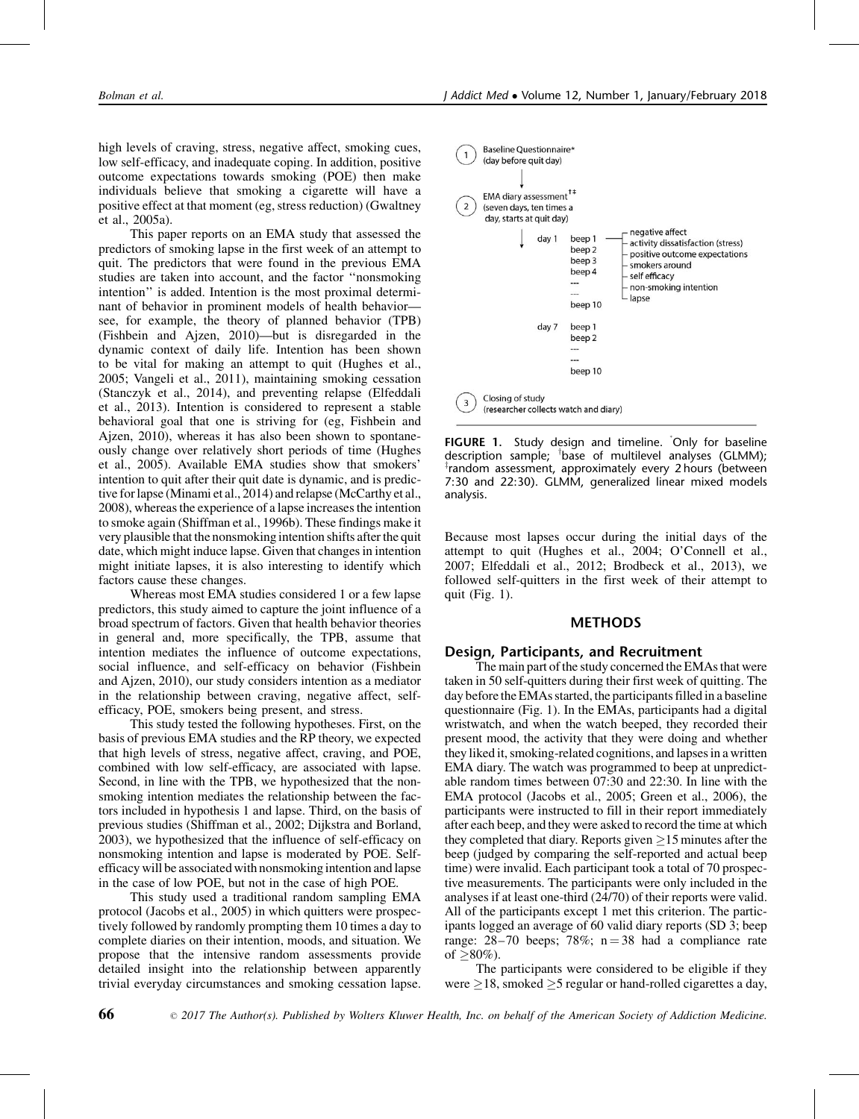high levels of craving, stress, negative affect, smoking cues, low self-efficacy, and inadequate coping. In addition, positive outcome expectations towards smoking (POE) then make individuals believe that smoking a cigarette will have a positive effect at that moment (eg, stress reduction) (Gwaltney et al., 2005a).

This paper reports on an EMA study that assessed the predictors of smoking lapse in the first week of an attempt to quit. The predictors that were found in the previous EMA studies are taken into account, and the factor ''nonsmoking intention'' is added. Intention is the most proximal determinant of behavior in prominent models of health behavior see, for example, the theory of planned behavior (TPB) (Fishbein and Ajzen, 2010)—but is disregarded in the dynamic context of daily life. Intention has been shown to be vital for making an attempt to quit (Hughes et al., 2005; Vangeli et al., 2011), maintaining smoking cessation (Stanczyk et al., 2014), and preventing relapse (Elfeddali et al., 2013). Intention is considered to represent a stable behavioral goal that one is striving for (eg, Fishbein and Ajzen, 2010), whereas it has also been shown to spontaneously change over relatively short periods of time (Hughes et al., 2005). Available EMA studies show that smokers' intention to quit after their quit date is dynamic, and is predictive for lapse (Minami et al., 2014) and relapse (McCarthy et al., 2008), whereas the experience of a lapse increases the intention to smoke again (Shiffman et al., 1996b). These findings make it very plausible that the nonsmoking intention shifts after the quit date, which might induce lapse. Given that changes in intention might initiate lapses, it is also interesting to identify which factors cause these changes.

Whereas most EMA studies considered 1 or a few lapse predictors, this study aimed to capture the joint influence of a broad spectrum of factors. Given that health behavior theories in general and, more specifically, the TPB, assume that intention mediates the influence of outcome expectations, social influence, and self-efficacy on behavior (Fishbein and Ajzen, 2010), our study considers intention as a mediator in the relationship between craving, negative affect, selfefficacy, POE, smokers being present, and stress.

This study tested the following hypotheses. First, on the basis of previous EMA studies and the RP theory, we expected that high levels of stress, negative affect, craving, and POE, combined with low self-efficacy, are associated with lapse. Second, in line with the TPB, we hypothesized that the nonsmoking intention mediates the relationship between the factors included in hypothesis 1 and lapse. Third, on the basis of previous studies (Shiffman et al., 2002; Dijkstra and Borland, 2003), we hypothesized that the influence of self-efficacy on nonsmoking intention and lapse is moderated by POE. Selfefficacy will be associated with nonsmoking intention and lapse in the case of low POE, but not in the case of high POE.

This study used a traditional random sampling EMA protocol (Jacobs et al., 2005) in which quitters were prospectively followed by randomly prompting them 10 times a day to complete diaries on their intention, moods, and situation. We propose that the intensive random assessments provide detailed insight into the relationship between apparently trivial everyday circumstances and smoking cessation lapse.



FIGURE 1. Study design and timeline. Only for baseline description sample; <sup>†</sup>base of multilevel analyses (GLMM);<br><sup>‡</sup>random assessment, approximately every 2 bours (between random assessment, approximately every 2 hours (between 7:30 and 22:30). GLMM, generalized linear mixed models analysis.

Because most lapses occur during the initial days of the attempt to quit (Hughes et al., 2004; O'Connell et al., 2007; Elfeddali et al., 2012; Brodbeck et al., 2013), we followed self-quitters in the first week of their attempt to quit (Fig. 1).

# METHODS

## Design, Participants, and Recruitment

The main part of the study concerned the EMAs that were taken in 50 self-quitters during their first week of quitting. The day before the EMAs started, the participants filled in a baseline questionnaire (Fig. 1). In the EMAs, participants had a digital wristwatch, and when the watch beeped, they recorded their present mood, the activity that they were doing and whether they liked it, smoking-related cognitions, and lapses in a written EMA diary. The watch was programmed to beep at unpredictable random times between 07:30 and 22:30. In line with the EMA protocol (Jacobs et al., 2005; Green et al., 2006), the participants were instructed to fill in their report immediately after each beep, and they were asked to record the time at which they completed that diary. Reports given  $\geq 15$  minutes after the beep (judged by comparing the self-reported and actual beep time) were invalid. Each participant took a total of 70 prospective measurements. The participants were only included in the analyses if at least one-third (24/70) of their reports were valid. All of the participants except 1 met this criterion. The participants logged an average of 60 valid diary reports (SD 3; beep range:  $28-70$  beeps;  $78\%$ ;  $n = 38$  had a compliance rate of  $\geq 80\%$ ).

The participants were considered to be eligible if they were  $\geq$ 18, smoked  $\geq$ 5 regular or hand-rolled cigarettes a day,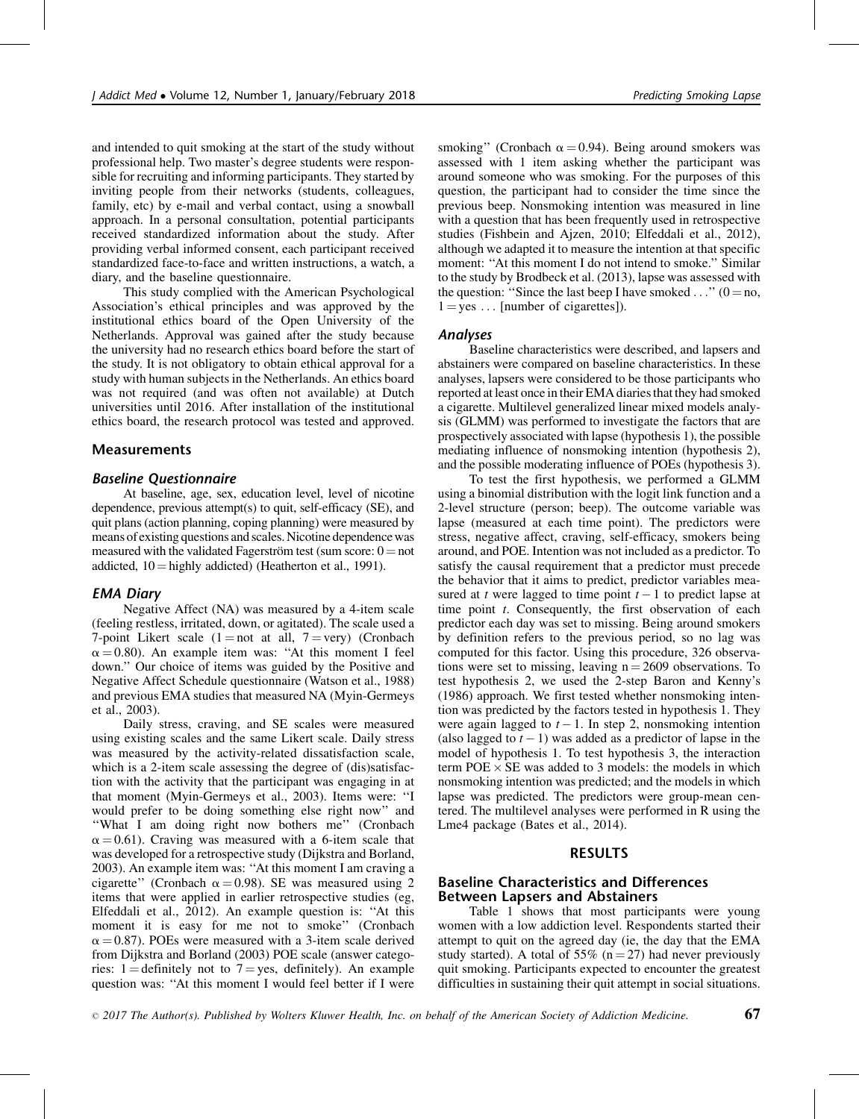and intended to quit smoking at the start of the study without professional help. Two master's degree students were responsible for recruiting and informing participants. They started by inviting people from their networks (students, colleagues, family, etc) by e-mail and verbal contact, using a snowball approach. In a personal consultation, potential participants received standardized information about the study. After providing verbal informed consent, each participant received standardized face-to-face and written instructions, a watch, a diary, and the baseline questionnaire.

This study complied with the American Psychological Association's ethical principles and was approved by the institutional ethics board of the Open University of the Netherlands. Approval was gained after the study because the university had no research ethics board before the start of the study. It is not obligatory to obtain ethical approval for a study with human subjects in the Netherlands. An ethics board was not required (and was often not available) at Dutch universities until 2016. After installation of the institutional ethics board, the research protocol was tested and approved.

# Measurements

# Baseline Questionnaire

At baseline, age, sex, education level, level of nicotine dependence, previous attempt(s) to quit, self-efficacy (SE), and quit plans (action planning, coping planning) were measured by means of existing questions and scales. Nicotine dependence was measured with the validated Fagerström test (sum score:  $0 = not$ addicted,  $10 =$  highly addicted) (Heatherton et al., 1991).

# EMA Diary

Negative Affect (NA) was measured by a 4-item scale (feeling restless, irritated, down, or agitated). The scale used a 7-point Likert scale  $(1 = not at all, 7 = very)$  (Cronbach  $\alpha$  = 0.80). An example item was: "At this moment I feel down.'' Our choice of items was guided by the Positive and Negative Affect Schedule questionnaire (Watson et al., 1988) and previous EMA studies that measured NA (Myin-Germeys et al., 2003).

Daily stress, craving, and SE scales were measured using existing scales and the same Likert scale. Daily stress was measured by the activity-related dissatisfaction scale, which is a 2-item scale assessing the degree of (dis)satisfaction with the activity that the participant was engaging in at that moment (Myin-Germeys et al., 2003). Items were: ''I would prefer to be doing something else right now'' and ''What I am doing right now bothers me'' (Cronbach  $\alpha$  = 0.61). Craving was measured with a 6-item scale that was developed for a retrospective study (Dijkstra and Borland, 2003). An example item was: ''At this moment I am craving a cigarette" (Cronbach  $\alpha = 0.98$ ). SE was measured using 2 items that were applied in earlier retrospective studies (eg, Elfeddali et al., 2012). An example question is: ''At this moment it is easy for me not to smoke" (Cronbach  $\alpha$  = 0.87). POEs were measured with a 3-item scale derived from Dijkstra and Borland (2003) POE scale (answer categories:  $1 =$  definitely not to  $7 =$  yes, definitely). An example question was: ''At this moment I would feel better if I were

smoking" (Cronbach  $\alpha = 0.94$ ). Being around smokers was assessed with 1 item asking whether the participant was around someone who was smoking. For the purposes of this question, the participant had to consider the time since the previous beep. Nonsmoking intention was measured in line with a question that has been frequently used in retrospective studies (Fishbein and Ajzen, 2010; Elfeddali et al., 2012), although we adapted it to measure the intention at that specific moment: "At this moment I do not intend to smoke." Similar to the study by Brodbeck et al. (2013), lapse was assessed with the question: "Since the last beep I have smoked ..."  $(0 = no,$  $1 = yes \dots$  [number of cigarettes]).

# Analyses

Baseline characteristics were described, and lapsers and abstainers were compared on baseline characteristics. In these analyses, lapsers were considered to be those participants who reported at least once in their EMA diaries that they had smoked a cigarette. Multilevel generalized linear mixed models analysis (GLMM) was performed to investigate the factors that are prospectively associated with lapse (hypothesis 1), the possible mediating influence of nonsmoking intention (hypothesis 2), and the possible moderating influence of POEs (hypothesis 3).

To test the first hypothesis, we performed a GLMM using a binomial distribution with the logit link function and a 2-level structure (person; beep). The outcome variable was lapse (measured at each time point). The predictors were stress, negative affect, craving, self-efficacy, smokers being around, and POE. Intention was not included as a predictor. To satisfy the causal requirement that a predictor must precede the behavior that it aims to predict, predictor variables measured at t were lagged to time point  $t-1$  to predict lapse at time point *t*. Consequently, the first observation of each predictor each day was set to missing. Being around smokers by definition refers to the previous period, so no lag was computed for this factor. Using this procedure, 326 observations were set to missing, leaving  $n = 2609$  observations. To test hypothesis 2, we used the 2-step Baron and Kenny's (1986) approach. We first tested whether nonsmoking intention was predicted by the factors tested in hypothesis 1. They were again lagged to  $t - 1$ . In step 2, nonsmoking intention (also lagged to  $t - 1$ ) was added as a predictor of lapse in the model of hypothesis 1. To test hypothesis 3, the interaction term  $POE \times SE$  was added to 3 models: the models in which nonsmoking intention was predicted; and the models in which lapse was predicted. The predictors were group-mean centered. The multilevel analyses were performed in R using the Lme4 package (Bates et al., 2014).

# **RESULTS**

# Baseline Characteristics and Differences Between Lapsers and Abstainers

Table 1 shows that most participants were young women with a low addiction level. Respondents started their attempt to quit on the agreed day (ie, the day that the EMA study started). A total of 55% ( $n = 27$ ) had never previously quit smoking. Participants expected to encounter the greatest difficulties in sustaining their quit attempt in social situations.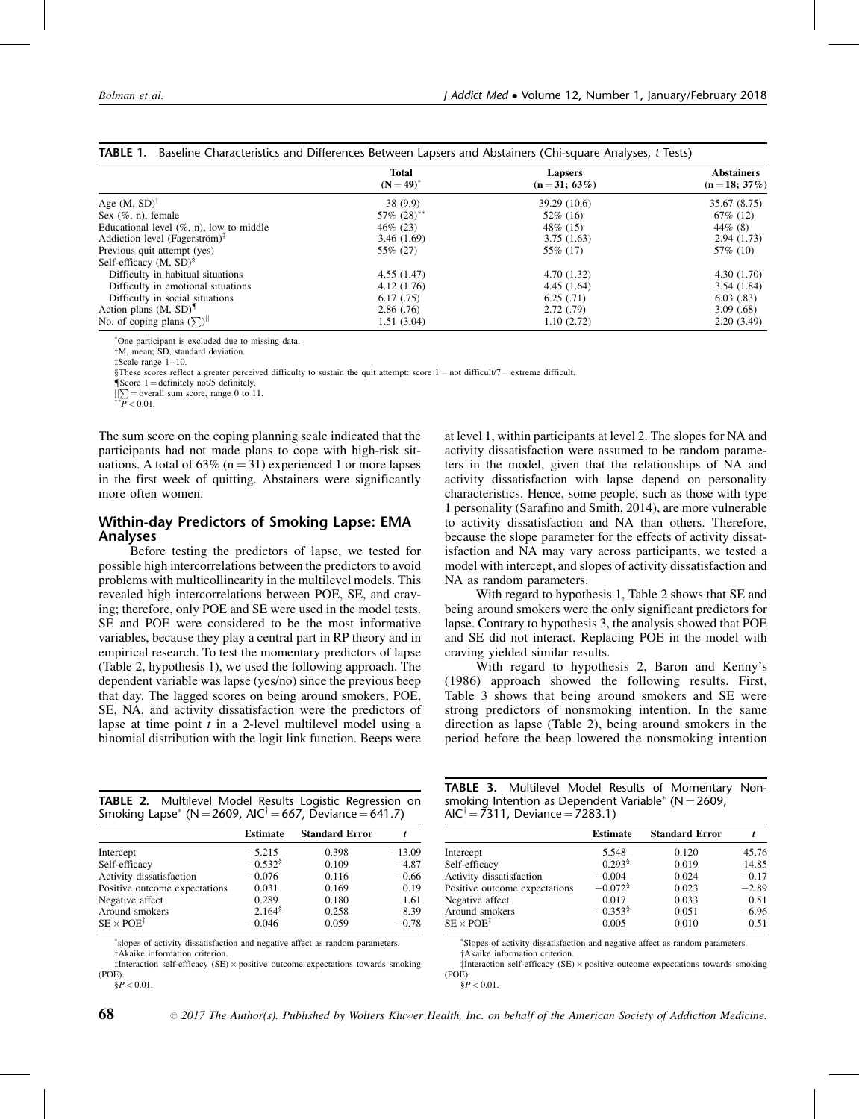|                                             | <b>Total</b><br>$(N = 49)^{*}$ | <b>Lapsers</b><br>$(n=31; 63\%)$ | <b>Abstainers</b><br>$(n=18; 37\%)$ |
|---------------------------------------------|--------------------------------|----------------------------------|-------------------------------------|
| Age $(M, SD)^T$                             | 38(9.9)                        | 39.29 (10.6)                     | 35.67 (8.75)                        |
| Sex $(\%$ , n), female                      | $57\%$ $(28)$ <sup>**</sup>    | $52\%$ (16)                      | $67\%$ (12)                         |
| Educational level $(\%$ , n), low to middle | $46\%$ (23)                    | 48\% (15)                        | $44\%$ (8)                          |
| Addiction level (Fagerström) $7$            | 3.46(1.69)                     | 3.75(1.63)                       | 2.94(1.73)                          |
| Previous quit attempt (yes)                 | 55\% (27)                      | 55\% (17)                        | 57\% (10)                           |
| Self-efficacy $(M, SD)^{8}$                 |                                |                                  |                                     |
| Difficulty in habitual situations           | 4.55(1.47)                     | 4.70(1.32)                       | 4.30(1.70)                          |
| Difficulty in emotional situations          | 4.12(1.76)                     | 4.45(1.64)                       | 3.54(1.84)                          |
| Difficulty in social situations             | 6.17(0.75)                     | 6.25(.71)                        | 6.03(0.83)                          |
| Action plans $(M, SD)^{\mathbb{I}}$         | 2.86(.76)                      | 2.72(.79)                        | 3.09(0.68)                          |
| No. of coping plans $(\sum)^n$              | 1.51(3.04)                     | 1.10(2.72)                       | 2.20(3.49)                          |

One participant is excluded due to missing data.

zScale range 1–10.

§These scores reflect a greater perceived difficulty to sustain the quit attempt: score  $1 =$  not difficult/7 = extreme difficult.

 ${\sf TScore} 1 =$  definitely not/5 definitely.  $\iiint_{P}$  = overall sum score, range 0 to 11.

The sum score on the coping planning scale indicated that the participants had not made plans to cope with high-risk situations. A total of 63% ( $n = 31$ ) experienced 1 or more lapses in the first week of quitting. Abstainers were significantly more often women.

# Within-day Predictors of Smoking Lapse: EMA Analyses

Before testing the predictors of lapse, we tested for possible high intercorrelations between the predictors to avoid problems with multicollinearity in the multilevel models. This revealed high intercorrelations between POE, SE, and craving; therefore, only POE and SE were used in the model tests. SE and POE were considered to be the most informative variables, because they play a central part in RP theory and in empirical research. To test the momentary predictors of lapse (Table 2, hypothesis 1), we used the following approach. The dependent variable was lapse (yes/no) since the previous beep that day. The lagged scores on being around smokers, POE, SE, NA, and activity dissatisfaction were the predictors of lapse at time point  $t$  in a 2-level multilevel model using a binomial distribution with the logit link function. Beeps were

TABLE 2. Multilevel Model Results Logistic Regression on Smoking Lapse<sup>\*</sup> (N = 2609, AIC<sup>†</sup> = 667, Deviance = 641.7)

|                               | <b>Estimate</b>      | <b>Standard Error</b> |          |
|-------------------------------|----------------------|-----------------------|----------|
| Intercept                     | $-5.215$             | 0.398                 | $-13.09$ |
| Self-efficacy                 | $-0.532^8$           | 0.109                 | $-4.87$  |
| Activity dissatisfaction      | $-0.076$             | 0.116                 | $-0.66$  |
| Positive outcome expectations | 0.031                | 0.169                 | 0.19     |
| Negative affect               | 0.289                | 0.180                 | 1.61     |
| Around smokers                | $2.164$ <sup>§</sup> | 0.258                 | 8.39     |
| $SE \times POE^{\ddagger}$    | $-0.046$             | 0.059                 | $-0.78$  |

 slopes of activity dissatisfaction and negative affect as random parameters.  $\dagger$ Akaike information criterion

 $\ddagger$ Interaction self-efficacy (SE)  $\times$  positive outcome expectations towards smoking (POE).  $\frac{8}{P} < 0.01$ .

at level 1, within participants at level 2. The slopes for NA and activity dissatisfaction were assumed to be random parameters in the model, given that the relationships of NA and activity dissatisfaction with lapse depend on personality characteristics. Hence, some people, such as those with type 1 personality (Sarafino and Smith, 2014), are more vulnerable to activity dissatisfaction and NA than others. Therefore, because the slope parameter for the effects of activity dissatisfaction and NA may vary across participants, we tested a model with intercept, and slopes of activity dissatisfaction and NA as random parameters.

With regard to hypothesis 1, Table 2 shows that SE and being around smokers were the only significant predictors for lapse. Contrary to hypothesis 3, the analysis showed that POE and SE did not interact. Replacing POE in the model with craving yielded similar results.

With regard to hypothesis 2, Baron and Kenny's (1986) approach showed the following results. First, Table 3 shows that being around smokers and SE were strong predictors of nonsmoking intention. In the same direction as lapse (Table 2), being around smokers in the period before the beep lowered the nonsmoking intention

TABLE 3. Multilevel Model Results of Momentary Nonsmoking Intention as Dependent Variable<sup>\*</sup> ( $N = 2609$ ,  $AIC^{\dagger} = 7311$ , Deviance = 7283.1)

|                               | <b>Estimate</b>       | <b>Standard Error</b> |         |
|-------------------------------|-----------------------|-----------------------|---------|
| Intercept                     | 5.548                 | 0.120                 | 45.76   |
| Self-efficacy                 | $0.293^8$             | 0.019                 | 14.85   |
| Activity dissatisfaction      | $-0.004$              | 0.024                 | $-0.17$ |
| Positive outcome expectations | $-0.072$ <sup>§</sup> | 0.023                 | $-2.89$ |
| Negative affect               | 0.017                 | 0.033                 | 0.51    |
| Around smokers                | $-0.353$ <sup>§</sup> | 0.051                 | $-6.96$ |
| $SE \times POE^{\ddagger}$    | 0.005                 | 0.010                 | 0.51    |

Slopes of activity dissatisfaction and negative affect as random parameters.

 $\dagger$ Akaike information criterion

zInteraction self-efficacy (SE) positive outcome expectations towards smoking (POE).

 $\dagger$ M, mean; SD, standard deviation.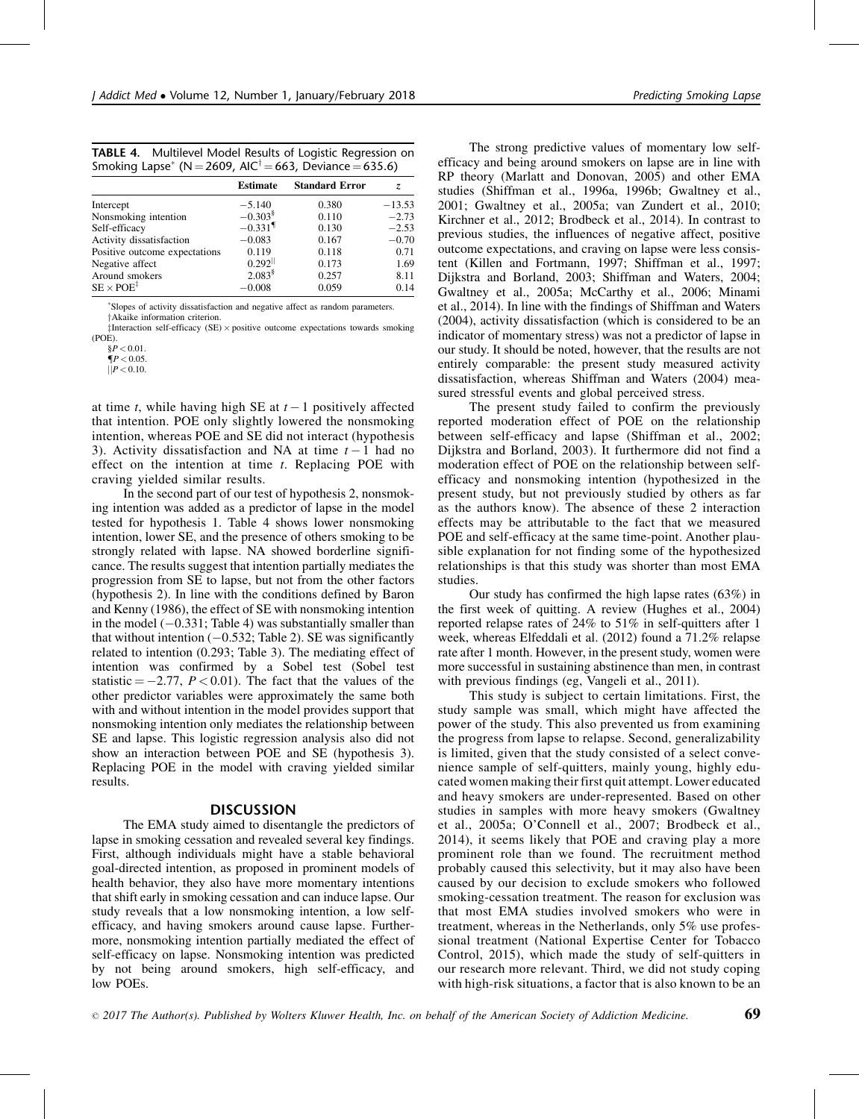| TABLE 4. Multilevel Model Results of Logistic Regression on         |
|---------------------------------------------------------------------|
| Smoking Lapse* (N = 2609, AIC <sup>†</sup> = 663, Deviance = 635.6) |

|                               | <b>Estimate</b>       | <b>Standard Error</b> | z.       |
|-------------------------------|-----------------------|-----------------------|----------|
| Intercept                     | $-5.140$              | 0.380                 | $-13.53$ |
| Nonsmoking intention          | $-0.303$ <sup>§</sup> | 0.110                 | $-2.73$  |
| Self-efficacy                 | $-0.331$ <sup>1</sup> | 0.130                 | $-2.53$  |
| Activity dissatisfaction      | $-0.083$              | 0.167                 | $-0.70$  |
| Positive outcome expectations | 0.119                 | 0.118                 | 0.71     |
| Negative affect               | 0.292                 | 0.173                 | 1.69     |
| Around smokers                | $2.083^8$             | 0.257                 | 8.11     |
| $SE \times POE^{\ddagger}$    | $-0.008$              | 0.059                 | 0.14     |

 Slopes of activity dissatisfaction and negative affect as random parameters. yAkaike information criterion.

 $\ddagger$ Interaction self-efficacy (SE)  $\times$  positive outcome expectations towards smoking (POE).

 ${I\!\!P}$  < 0.05

 $\mathbb{I}P < 0.10$ .

at time *t*, while having high SE at  $t - 1$  positively affected that intention. POE only slightly lowered the nonsmoking intention, whereas POE and SE did not interact (hypothesis 3). Activity dissatisfaction and NA at time  $t-1$  had no effect on the intention at time  $t$ . Replacing POE with craving yielded similar results.

In the second part of our test of hypothesis 2, nonsmoking intention was added as a predictor of lapse in the model tested for hypothesis 1. Table 4 shows lower nonsmoking intention, lower SE, and the presence of others smoking to be strongly related with lapse. NA showed borderline significance. The results suggest that intention partially mediates the progression from SE to lapse, but not from the other factors (hypothesis 2). In line with the conditions defined by Baron and Kenny (1986), the effect of SE with nonsmoking intention in the model  $(-0.331;$  Table 4) was substantially smaller than that without intention  $(-0.532;$  Table 2). SE was significantly related to intention (0.293; Table 3). The mediating effect of intention was confirmed by a Sobel test (Sobel test statistic  $= -2.77$ ,  $P < 0.01$ ). The fact that the values of the other predictor variables were approximately the same both with and without intention in the model provides support that nonsmoking intention only mediates the relationship between SE and lapse. This logistic regression analysis also did not show an interaction between POE and SE (hypothesis 3). Replacing POE in the model with craving yielded similar results.

#### DISCUSSION

The EMA study aimed to disentangle the predictors of lapse in smoking cessation and revealed several key findings. First, although individuals might have a stable behavioral goal-directed intention, as proposed in prominent models of health behavior, they also have more momentary intentions that shift early in smoking cessation and can induce lapse. Our study reveals that a low nonsmoking intention, a low selfefficacy, and having smokers around cause lapse. Furthermore, nonsmoking intention partially mediated the effect of self-efficacy on lapse. Nonsmoking intention was predicted by not being around smokers, high self-efficacy, and low POEs.

The strong predictive values of momentary low selfefficacy and being around smokers on lapse are in line with RP theory (Marlatt and Donovan, 2005) and other EMA studies (Shiffman et al., 1996a, 1996b; Gwaltney et al., 2001; Gwaltney et al., 2005a; van Zundert et al., 2010; Kirchner et al., 2012; Brodbeck et al., 2014). In contrast to previous studies, the influences of negative affect, positive outcome expectations, and craving on lapse were less consistent (Killen and Fortmann, 1997; Shiffman et al., 1997; Dijkstra and Borland, 2003; Shiffman and Waters, 2004; Gwaltney et al., 2005a; McCarthy et al., 2006; Minami et al., 2014). In line with the findings of Shiffman and Waters (2004), activity dissatisfaction (which is considered to be an indicator of momentary stress) was not a predictor of lapse in our study. It should be noted, however, that the results are not entirely comparable: the present study measured activity dissatisfaction, whereas Shiffman and Waters (2004) measured stressful events and global perceived stress.

The present study failed to confirm the previously reported moderation effect of POE on the relationship between self-efficacy and lapse (Shiffman et al., 2002; Dijkstra and Borland, 2003). It furthermore did not find a moderation effect of POE on the relationship between selfefficacy and nonsmoking intention (hypothesized in the present study, but not previously studied by others as far as the authors know). The absence of these 2 interaction effects may be attributable to the fact that we measured POE and self-efficacy at the same time-point. Another plausible explanation for not finding some of the hypothesized relationships is that this study was shorter than most EMA studies.

Our study has confirmed the high lapse rates (63%) in the first week of quitting. A review (Hughes et al., 2004) reported relapse rates of 24% to 51% in self-quitters after 1 week, whereas Elfeddali et al. (2012) found a 71.2% relapse rate after 1 month. However, in the present study, women were more successful in sustaining abstinence than men, in contrast with previous findings (eg, Vangeli et al., 2011).

This study is subject to certain limitations. First, the study sample was small, which might have affected the power of the study. This also prevented us from examining the progress from lapse to relapse. Second, generalizability is limited, given that the study consisted of a select convenience sample of self-quitters, mainly young, highly educated women making their first quit attempt. Lower educated and heavy smokers are under-represented. Based on other studies in samples with more heavy smokers (Gwaltney et al., 2005a; O'Connell et al., 2007; Brodbeck et al., 2014), it seems likely that POE and craving play a more prominent role than we found. The recruitment method probably caused this selectivity, but it may also have been caused by our decision to exclude smokers who followed smoking-cessation treatment. The reason for exclusion was that most EMA studies involved smokers who were in treatment, whereas in the Netherlands, only 5% use professional treatment (National Expertise Center for Tobacco Control, 2015), which made the study of self-quitters in our research more relevant. Third, we did not study coping with high-risk situations, a factor that is also known to be an

 $\frac{6}{5}P < 0.01$ .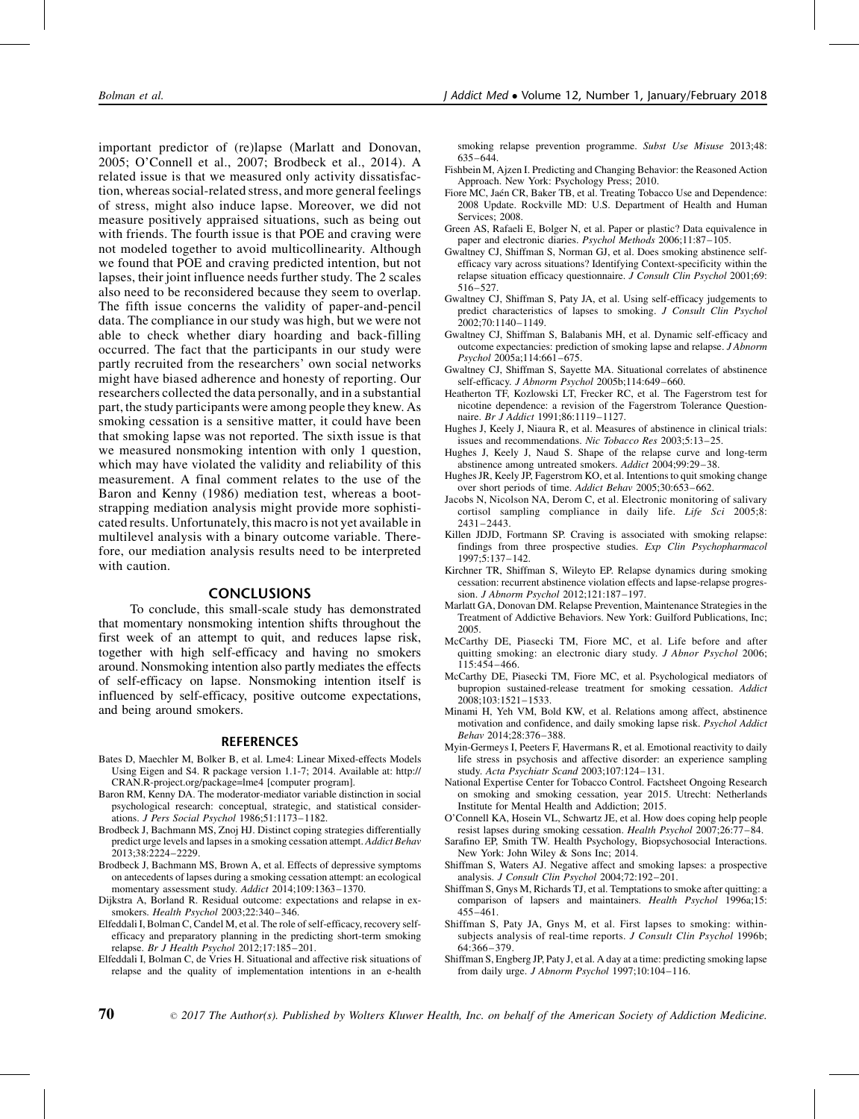important predictor of (re)lapse (Marlatt and Donovan, 2005; O'Connell et al., 2007; Brodbeck et al., 2014). A related issue is that we measured only activity dissatisfaction, whereas social-related stress, and more general feelings of stress, might also induce lapse. Moreover, we did not measure positively appraised situations, such as being out with friends. The fourth issue is that POE and craving were not modeled together to avoid multicollinearity. Although we found that POE and craving predicted intention, but not lapses, their joint influence needs further study. The 2 scales also need to be reconsidered because they seem to overlap. The fifth issue concerns the validity of paper-and-pencil data. The compliance in our study was high, but we were not able to check whether diary hoarding and back-filling occurred. The fact that the participants in our study were partly recruited from the researchers' own social networks might have biased adherence and honesty of reporting. Our researchers collected the data personally, and in a substantial part, the study participants were among people they knew. As smoking cessation is a sensitive matter, it could have been that smoking lapse was not reported. The sixth issue is that we measured nonsmoking intention with only 1 question, which may have violated the validity and reliability of this measurement. A final comment relates to the use of the Baron and Kenny (1986) mediation test, whereas a bootstrapping mediation analysis might provide more sophisticated results. Unfortunately, this macro is not yet available in multilevel analysis with a binary outcome variable. Therefore, our mediation analysis results need to be interpreted with caution.

#### CONCLUSIONS

To conclude, this small-scale study has demonstrated that momentary nonsmoking intention shifts throughout the first week of an attempt to quit, and reduces lapse risk, together with high self-efficacy and having no smokers around. Nonsmoking intention also partly mediates the effects of self-efficacy on lapse. Nonsmoking intention itself is influenced by self-efficacy, positive outcome expectations, and being around smokers.

### REFERENCES

- Bates D, Maechler M, Bolker B, et al. Lme4: Linear Mixed-effects Models Using Eigen and S4. R package version 1.1-7; 2014. Available at: [http://](http://cran.r-project.org/package=lme4) [CRAN.R-project.org/package=lme4 \[computer program\].](http://cran.r-project.org/package=lme4)
- Baron RM, Kenny DA. The moderator-mediator variable distinction in social psychological research: conceptual, strategic, and statistical considerations. J Pers Social Psychol 1986;51:1173–1182.
- Brodbeck J, Bachmann MS, Znoj HJ. Distinct coping strategies differentially predict urge levels and lapses in a smoking cessation attempt. Addict Behav 2013;38:2224–2229.
- Brodbeck J, Bachmann MS, Brown A, et al. Effects of depressive symptoms on antecedents of lapses during a smoking cessation attempt: an ecological momentary assessment study. Addict 2014;109:1363-1370.
- Dijkstra A, Borland R. Residual outcome: expectations and relapse in exsmokers. Health Psychol 2003;22:340–346.
- Elfeddali I, Bolman C, Candel M, et al. The role of self-efficacy, recovery selfefficacy and preparatory planning in the predicting short-term smoking relapse. Br J Health Psychol 2012;17:185–201.
- Elfeddali I, Bolman C, de Vries H. Situational and affective risk situations of relapse and the quality of implementation intentions in an e-health

70

smoking relapse prevention programme. Subst Use Misuse 2013;48: 635–644.

- Fishbein M, Ajzen I. Predicting and Changing Behavior: the Reasoned Action Approach. New York: Psychology Press; 2010.
- Fiore MC, Jaén CR, Baker TB, et al. Treating Tobacco Use and Dependence: 2008 Update. Rockville MD: U.S. Department of Health and Human Services; 2008.
- Green AS, Rafaeli E, Bolger N, et al. Paper or plastic? Data equivalence in paper and electronic diaries. Psychol Methods 2006;11:87–105.
- Gwaltney CJ, Shiffman S, Norman GJ, et al. Does smoking abstinence selfefficacy vary across situations? Identifying Context-specificity within the relapse situation efficacy questionnaire. J Consult Clin Psychol 2001;69: 516–527.
- Gwaltney CJ, Shiffman S, Paty JA, et al. Using self-efficacy judgements to predict characteristics of lapses to smoking. J Consult Clin Psychol 2002;70:1140–1149.
- Gwaltney CJ, Shiffman S, Balabanis MH, et al. Dynamic self-efficacy and outcome expectancies: prediction of smoking lapse and relapse. J Abnorm Psychol 2005a;114:661–675.
- Gwaltney CJ, Shiffman S, Sayette MA. Situational correlates of abstinence self-efficacy. J Abnorm Psychol 2005b;114:649–660.
- Heatherton TF, Kozlowski LT, Frecker RC, et al. The Fagerstrom test for nicotine dependence: a revision of the Fagerstrom Tolerance Questionnaire. Br J Addict 1991;86:1119–1127.
- Hughes J, Keely J, Niaura R, et al. Measures of abstinence in clinical trials: issues and recommendations. Nic Tobacco Res 2003;5:13–25.
- Hughes J, Keely J, Naud S. Shape of the relapse curve and long-term abstinence among untreated smokers. Addict 2004;99:29–38.
- Hughes JR, Keely JP, Fagerstrom KO, et al. Intentions to quit smoking change over short periods of time. Addict Behav 2005;30:653–662.
- Jacobs N, Nicolson NA, Derom C, et al. Electronic monitoring of salivary cortisol sampling compliance in daily life. Life Sci 2005;8: 2431–2443.
- Killen JDJD, Fortmann SP. Craving is associated with smoking relapse: findings from three prospective studies. Exp Clin Psychopharmacol 1997;5:137–142.
- Kirchner TR, Shiffman S, Wileyto EP. Relapse dynamics during smoking cessation: recurrent abstinence violation effects and lapse-relapse progression. J Abnorm Psychol 2012;121:187–197.
- Marlatt GA, Donovan DM. Relapse Prevention, Maintenance Strategies in the Treatment of Addictive Behaviors. New York: Guilford Publications, Inc; 2005.
- McCarthy DE, Piasecki TM, Fiore MC, et al. Life before and after quitting smoking: an electronic diary study. J Abnor Psychol 2006; 115:454–466.
- McCarthy DE, Piasecki TM, Fiore MC, et al. Psychological mediators of bupropion sustained-release treatment for smoking cessation. Addict 2008;103:1521–1533.
- Minami H, Yeh VM, Bold KW, et al. Relations among affect, abstinence motivation and confidence, and daily smoking lapse risk. Psychol Addict Behav 2014;28:376–388.
- Myin-Germeys I, Peeters F, Havermans R, et al. Emotional reactivity to daily life stress in psychosis and affective disorder: an experience sampling study. Acta Psychiatr Scand 2003;107:124–131.
- National Expertise Center for Tobacco Control. Factsheet Ongoing Research on smoking and smoking cessation, year 2015. Utrecht: Netherlands Institute for Mental Health and Addiction; 2015.
- O'Connell KA, Hosein VL, Schwartz JE, et al. How does coping help people resist lapses during smoking cessation. Health Psychol 2007;26:77–84.
- Sarafino EP, Smith TW. Health Psychology, Biopsychosocial Interactions. New York: John Wiley & Sons Inc; 2014.
- Shiffman S, Waters AJ. Negative affect and smoking lapses: a prospective analysis. J Consult Clin Psychol 2004;72:192–201.
- Shiffman S, Gnys M, Richards TJ, et al. Temptations to smoke after quitting: a comparison of lapsers and maintainers. Health Psychol 1996a;15: 455–461.
- Shiffman S, Paty JA, Gnys M, et al. First lapses to smoking: withinsubjects analysis of real-time reports. J Consult Clin Psychol 1996b; 64:366–379.
- Shiffman S, Engberg JP, Paty J, et al. A day at a time: predicting smoking lapse from daily urge. J Abnorm Psychol 1997;10:104–116.